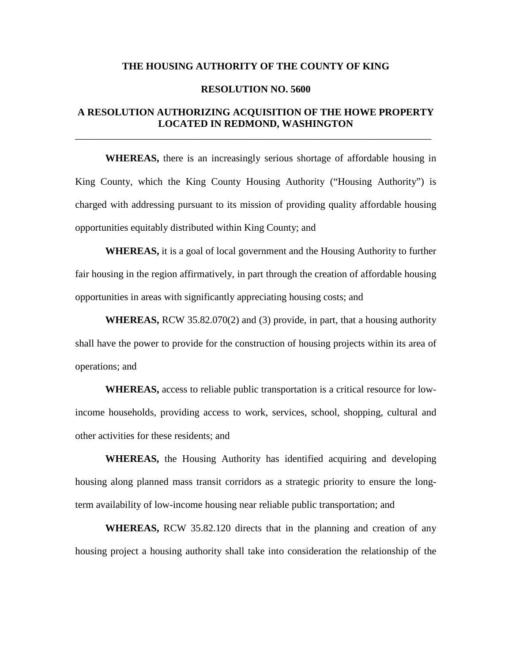#### **THE HOUSING AUTHORITY OF THE COUNTY OF KING**

#### **RESOLUTION NO. 5600**

# **A RESOLUTION AUTHORIZING ACQUISITION OF THE HOWE PROPERTY LOCATED IN REDMOND, WASHINGTON**

\_\_\_\_\_\_\_\_\_\_\_\_\_\_\_\_\_\_\_\_\_\_\_\_\_\_\_\_\_\_\_\_\_\_\_\_\_\_\_\_\_\_\_\_\_\_\_\_\_\_\_\_\_\_\_\_\_\_\_\_\_\_\_\_\_\_\_\_\_\_\_

**WHEREAS,** there is an increasingly serious shortage of affordable housing in King County, which the King County Housing Authority ("Housing Authority") is charged with addressing pursuant to its mission of providing quality affordable housing opportunities equitably distributed within King County; and

**WHEREAS,** it is a goal of local government and the Housing Authority to further fair housing in the region affirmatively, in part through the creation of affordable housing opportunities in areas with significantly appreciating housing costs; and

**WHEREAS,** RCW 35.82.070(2) and (3) provide, in part, that a housing authority shall have the power to provide for the construction of housing projects within its area of operations; and

**WHEREAS,** access to reliable public transportation is a critical resource for lowincome households, providing access to work, services, school, shopping, cultural and other activities for these residents; and

**WHEREAS,** the Housing Authority has identified acquiring and developing housing along planned mass transit corridors as a strategic priority to ensure the longterm availability of low-income housing near reliable public transportation; and

**WHEREAS,** RCW 35.82.120 directs that in the planning and creation of any housing project a housing authority shall take into consideration the relationship of the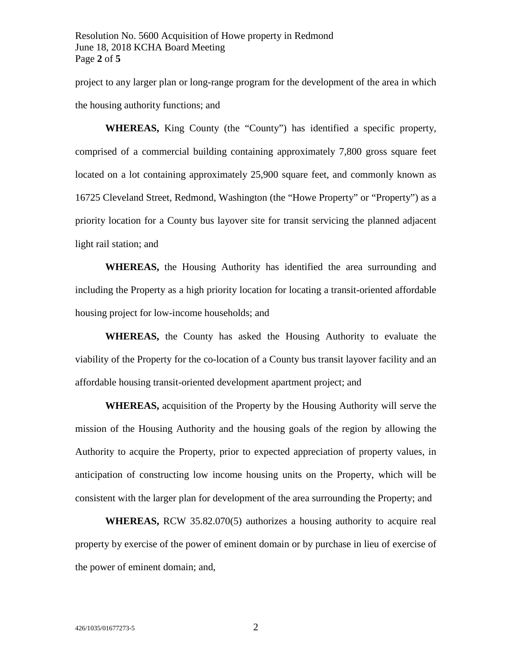project to any larger plan or long-range program for the development of the area in which the housing authority functions; and

**WHEREAS,** King County (the "County") has identified a specific property, comprised of a commercial building containing approximately 7,800 gross square feet located on a lot containing approximately 25,900 square feet, and commonly known as 16725 Cleveland Street, Redmond, Washington (the "Howe Property" or "Property") as a priority location for a County bus layover site for transit servicing the planned adjacent light rail station; and

**WHEREAS,** the Housing Authority has identified the area surrounding and including the Property as a high priority location for locating a transit-oriented affordable housing project for low-income households; and

**WHEREAS,** the County has asked the Housing Authority to evaluate the viability of the Property for the co-location of a County bus transit layover facility and an affordable housing transit-oriented development apartment project; and

**WHEREAS,** acquisition of the Property by the Housing Authority will serve the mission of the Housing Authority and the housing goals of the region by allowing the Authority to acquire the Property, prior to expected appreciation of property values, in anticipation of constructing low income housing units on the Property, which will be consistent with the larger plan for development of the area surrounding the Property; and

**WHEREAS,** RCW 35.82.070(5) authorizes a housing authority to acquire real property by exercise of the power of eminent domain or by purchase in lieu of exercise of the power of eminent domain; and,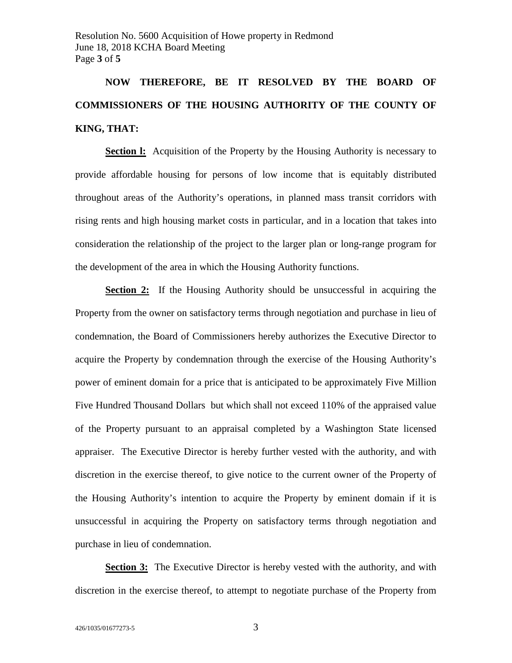**NOW THEREFORE, BE IT RESOLVED BY THE BOARD OF COMMISSIONERS OF THE HOUSING AUTHORITY OF THE COUNTY OF KING, THAT:**

**Section I:** Acquisition of the Property by the Housing Authority is necessary to provide affordable housing for persons of low income that is equitably distributed throughout areas of the Authority's operations, in planned mass transit corridors with rising rents and high housing market costs in particular, and in a location that takes into consideration the relationship of the project to the larger plan or long-range program for the development of the area in which the Housing Authority functions.

**Section 2:** If the Housing Authority should be unsuccessful in acquiring the Property from the owner on satisfactory terms through negotiation and purchase in lieu of condemnation, the Board of Commissioners hereby authorizes the Executive Director to acquire the Property by condemnation through the exercise of the Housing Authority's power of eminent domain for a price that is anticipated to be approximately Five Million Five Hundred Thousand Dollars but which shall not exceed 110% of the appraised value of the Property pursuant to an appraisal completed by a Washington State licensed appraiser. The Executive Director is hereby further vested with the authority, and with discretion in the exercise thereof, to give notice to the current owner of the Property of the Housing Authority's intention to acquire the Property by eminent domain if it is unsuccessful in acquiring the Property on satisfactory terms through negotiation and purchase in lieu of condemnation.

**Section 3:** The Executive Director is hereby vested with the authority, and with discretion in the exercise thereof, to attempt to negotiate purchase of the Property from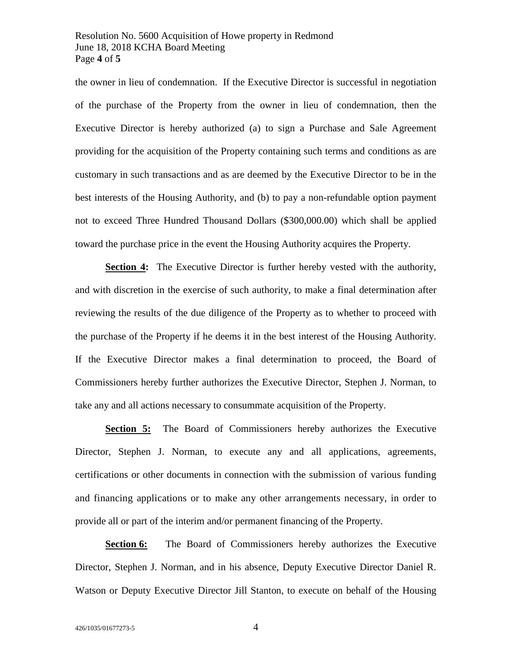## Resolution No. 5600 Acquisition of Howe property in Redmond June 18, 2018 KCHA Board Meeting Page **4** of **5**

the owner in lieu of condemnation. If the Executive Director is successful in negotiation of the purchase of the Property from the owner in lieu of condemnation, then the Executive Director is hereby authorized (a) to sign a Purchase and Sale Agreement providing for the acquisition of the Property containing such terms and conditions as are customary in such transactions and as are deemed by the Executive Director to be in the best interests of the Housing Authority, and (b) to pay a non-refundable option payment not to exceed Three Hundred Thousand Dollars (\$300,000.00) which shall be applied toward the purchase price in the event the Housing Authority acquires the Property.

**Section 4:** The Executive Director is further hereby vested with the authority, and with discretion in the exercise of such authority, to make a final determination after reviewing the results of the due diligence of the Property as to whether to proceed with the purchase of the Property if he deems it in the best interest of the Housing Authority. If the Executive Director makes a final determination to proceed, the Board of Commissioners hereby further authorizes the Executive Director, Stephen J. Norman, to take any and all actions necessary to consummate acquisition of the Property.

**Section 5:** The Board of Commissioners hereby authorizes the Executive Director, Stephen J. Norman, to execute any and all applications, agreements, certifications or other documents in connection with the submission of various funding and financing applications or to make any other arrangements necessary, in order to provide all or part of the interim and/or permanent financing of the Property.

**Section 6:** The Board of Commissioners hereby authorizes the Executive Director, Stephen J. Norman, and in his absence, Deputy Executive Director Daniel R. Watson or Deputy Executive Director Jill Stanton, to execute on behalf of the Housing